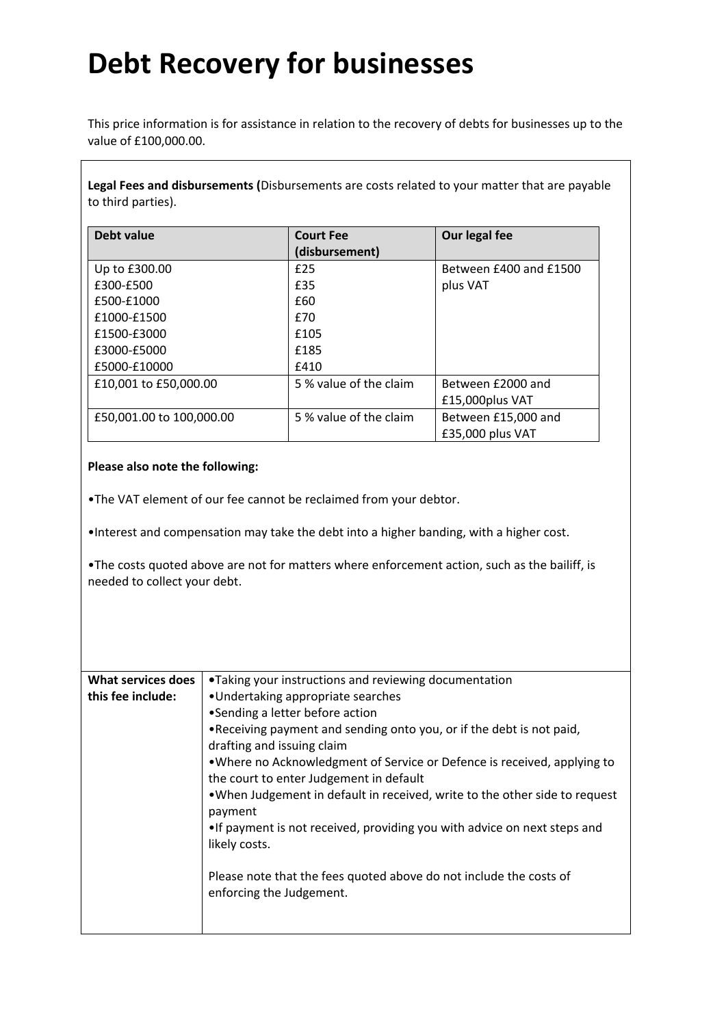### **Debt Recovery for businesses**

This price information is for assistance in relation to the recovery of debts for businesses up to the value of £100,000.00.

**Legal Fees and disbursements (**Disbursements are costs related to your matter that are payable to third parties).

| Debt value               | <b>Court Fee</b><br>(disbursement) | Our legal fee          |
|--------------------------|------------------------------------|------------------------|
| Up to £300.00            | f25                                | Between £400 and £1500 |
| £300-£500                | £35                                | plus VAT               |
| £500-£1000               | £60                                |                        |
| £1000-£1500              | £70                                |                        |
| £1500-£3000              | £105                               |                        |
| £3000-£5000              | £185                               |                        |
| £5000-£10000             | £410                               |                        |
| £10,001 to £50,000.00    | 5 % value of the claim             | Between £2000 and      |
|                          |                                    | £15,000plus VAT        |
| £50,001.00 to 100,000.00 | 5 % value of the claim             | Between £15,000 and    |
|                          |                                    | £35,000 plus VAT       |

#### **Please also note the following:**

•The VAT element of our fee cannot be reclaimed from your debtor.

•Interest and compensation may take the debt into a higher banding, with a higher cost.

•The costs quoted above are not for matters where enforcement action, such as the bailiff, is needed to collect your debt.

| What services does | •Taking your instructions and reviewing documentation                                          |
|--------------------|------------------------------------------------------------------------------------------------|
| this fee include:  | •Undertaking appropriate searches                                                              |
|                    | •Sending a letter before action                                                                |
|                    | . Receiving payment and sending onto you, or if the debt is not paid,                          |
|                    | drafting and issuing claim                                                                     |
|                    | . Where no Acknowledgment of Service or Defence is received, applying to                       |
|                    | the court to enter Judgement in default                                                        |
|                    | . When Judgement in default in received, write to the other side to request<br>payment         |
|                    | . If payment is not received, providing you with advice on next steps and                      |
|                    | likely costs.                                                                                  |
|                    |                                                                                                |
|                    | Please note that the fees quoted above do not include the costs of<br>enforcing the Judgement. |
|                    |                                                                                                |
|                    |                                                                                                |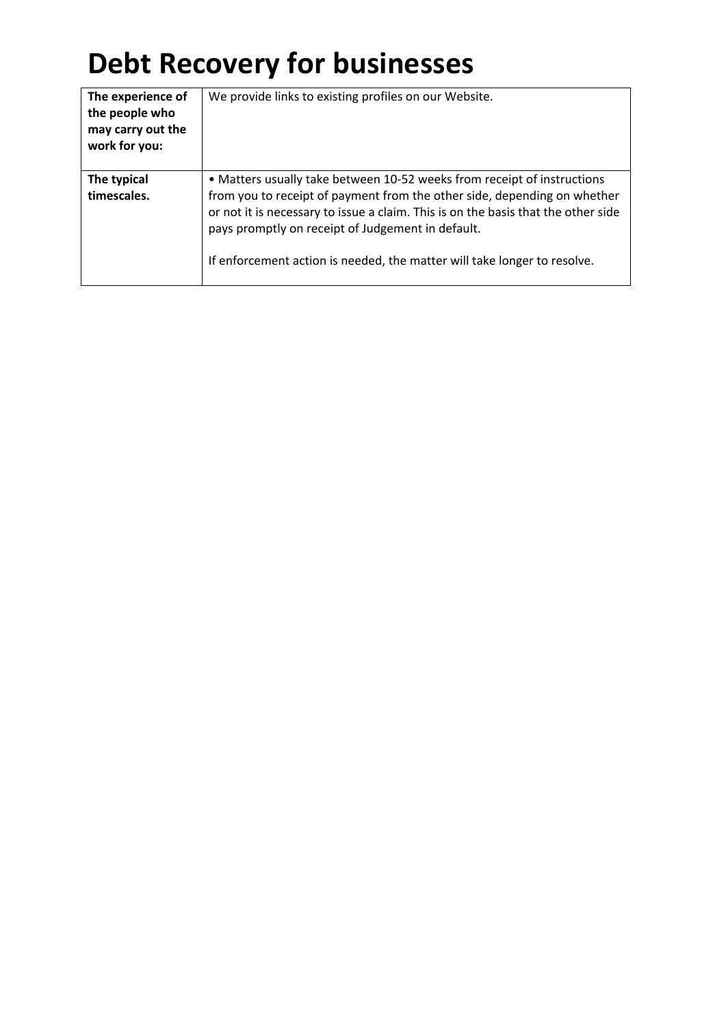## **Debt Recovery for businesses**

| The experience of<br>the people who<br>may carry out the<br>work for you: | We provide links to existing profiles on our Website.                                                                                                                                                                                                                                                                                                                     |
|---------------------------------------------------------------------------|---------------------------------------------------------------------------------------------------------------------------------------------------------------------------------------------------------------------------------------------------------------------------------------------------------------------------------------------------------------------------|
| The typical<br>timescales.                                                | • Matters usually take between 10-52 weeks from receipt of instructions<br>from you to receipt of payment from the other side, depending on whether<br>or not it is necessary to issue a claim. This is on the basis that the other side<br>pays promptly on receipt of Judgement in default.<br>If enforcement action is needed, the matter will take longer to resolve. |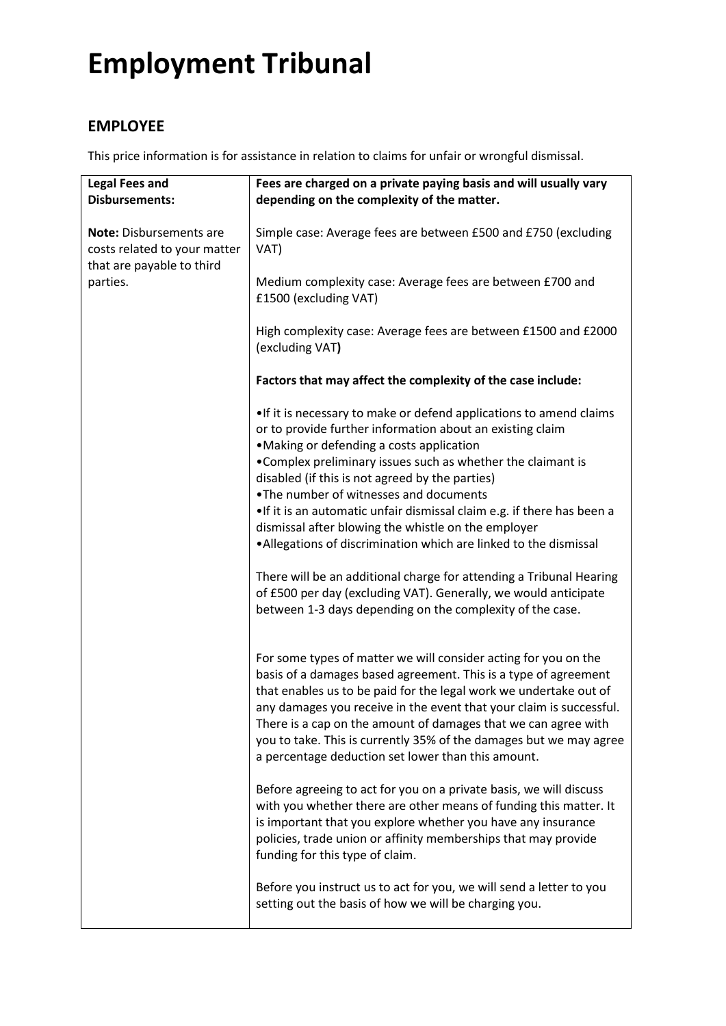### **EMPLOYEE**

This price information is for assistance in relation to claims for unfair or wrongful dismissal.

| <b>Legal Fees and</b><br><b>Disbursements:</b>                                              | Fees are charged on a private paying basis and will usually vary<br>depending on the complexity of the matter.                                                                                                                                                                                                                                                                                                                                                               |
|---------------------------------------------------------------------------------------------|------------------------------------------------------------------------------------------------------------------------------------------------------------------------------------------------------------------------------------------------------------------------------------------------------------------------------------------------------------------------------------------------------------------------------------------------------------------------------|
| <b>Note: Disbursements are</b><br>costs related to your matter<br>that are payable to third | Simple case: Average fees are between £500 and £750 (excluding<br>VAT)                                                                                                                                                                                                                                                                                                                                                                                                       |
| parties.                                                                                    | Medium complexity case: Average fees are between £700 and<br>£1500 (excluding VAT)                                                                                                                                                                                                                                                                                                                                                                                           |
|                                                                                             | High complexity case: Average fees are between £1500 and £2000<br>(excluding VAT)                                                                                                                                                                                                                                                                                                                                                                                            |
|                                                                                             | Factors that may affect the complexity of the case include:                                                                                                                                                                                                                                                                                                                                                                                                                  |
|                                                                                             | • If it is necessary to make or defend applications to amend claims<br>or to provide further information about an existing claim<br>•Making or defending a costs application<br>•Complex preliminary issues such as whether the claimant is<br>disabled (if this is not agreed by the parties)                                                                                                                                                                               |
|                                                                                             | . The number of witnesses and documents<br>•If it is an automatic unfair dismissal claim e.g. if there has been a<br>dismissal after blowing the whistle on the employer<br>• Allegations of discrimination which are linked to the dismissal                                                                                                                                                                                                                                |
|                                                                                             | There will be an additional charge for attending a Tribunal Hearing<br>of £500 per day (excluding VAT). Generally, we would anticipate<br>between 1-3 days depending on the complexity of the case.                                                                                                                                                                                                                                                                          |
|                                                                                             | For some types of matter we will consider acting for you on the<br>basis of a damages based agreement. This is a type of agreement<br>that enables us to be paid for the legal work we undertake out of<br>any damages you receive in the event that your claim is successful.<br>There is a cap on the amount of damages that we can agree with<br>you to take. This is currently 35% of the damages but we may agree<br>a percentage deduction set lower than this amount. |
|                                                                                             | Before agreeing to act for you on a private basis, we will discuss<br>with you whether there are other means of funding this matter. It<br>is important that you explore whether you have any insurance<br>policies, trade union or affinity memberships that may provide<br>funding for this type of claim.                                                                                                                                                                 |
|                                                                                             | Before you instruct us to act for you, we will send a letter to you<br>setting out the basis of how we will be charging you.                                                                                                                                                                                                                                                                                                                                                 |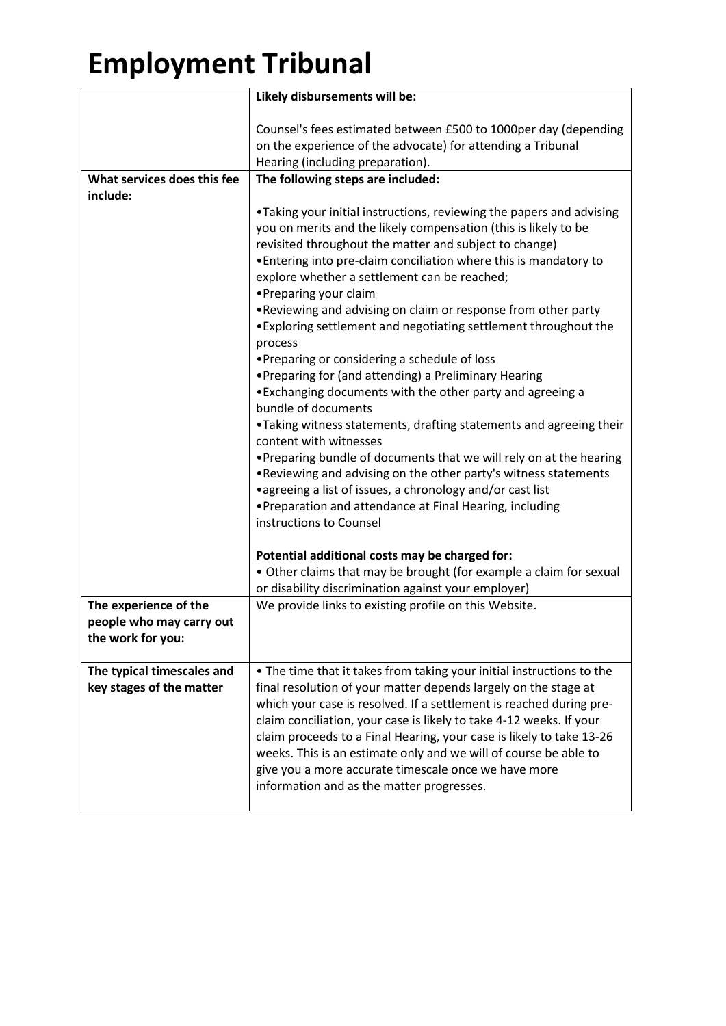|                             | Likely disbursements will be:                                                                |
|-----------------------------|----------------------------------------------------------------------------------------------|
|                             | Counsel's fees estimated between £500 to 1000per day (depending                              |
|                             | on the experience of the advocate) for attending a Tribunal                                  |
|                             | Hearing (including preparation).                                                             |
| What services does this fee | The following steps are included:                                                            |
| include:                    |                                                                                              |
|                             | •Taking your initial instructions, reviewing the papers and advising                         |
|                             | you on merits and the likely compensation (this is likely to be                              |
|                             | revisited throughout the matter and subject to change)                                       |
|                             | • Entering into pre-claim conciliation where this is mandatory to                            |
|                             | explore whether a settlement can be reached;<br>•Preparing your claim                        |
|                             | . Reviewing and advising on claim or response from other party                               |
|                             | . Exploring settlement and negotiating settlement throughout the                             |
|                             | process                                                                                      |
|                             | •Preparing or considering a schedule of loss                                                 |
|                             | • Preparing for (and attending) a Preliminary Hearing                                        |
|                             | •Exchanging documents with the other party and agreeing a                                    |
|                             | bundle of documents                                                                          |
|                             | •Taking witness statements, drafting statements and agreeing their<br>content with witnesses |
|                             | . Preparing bundle of documents that we will rely on at the hearing                          |
|                             | . Reviewing and advising on the other party's witness statements                             |
|                             | • agreeing a list of issues, a chronology and/or cast list                                   |
|                             | • Preparation and attendance at Final Hearing, including                                     |
|                             | instructions to Counsel                                                                      |
|                             | Potential additional costs may be charged for:                                               |
|                             | • Other claims that may be brought (for example a claim for sexual                           |
|                             | or disability discrimination against your employer)                                          |
| The experience of the       | We provide links to existing profile on this Website.                                        |
| people who may carry out    |                                                                                              |
| the work for you:           |                                                                                              |
| The typical timescales and  | • The time that it takes from taking your initial instructions to the                        |
| key stages of the matter    | final resolution of your matter depends largely on the stage at                              |
|                             | which your case is resolved. If a settlement is reached during pre-                          |
|                             | claim conciliation, your case is likely to take 4-12 weeks. If your                          |
|                             | claim proceeds to a Final Hearing, your case is likely to take 13-26                         |
|                             | weeks. This is an estimate only and we will of course be able to                             |
|                             | give you a more accurate timescale once we have more                                         |
|                             | information and as the matter progresses.                                                    |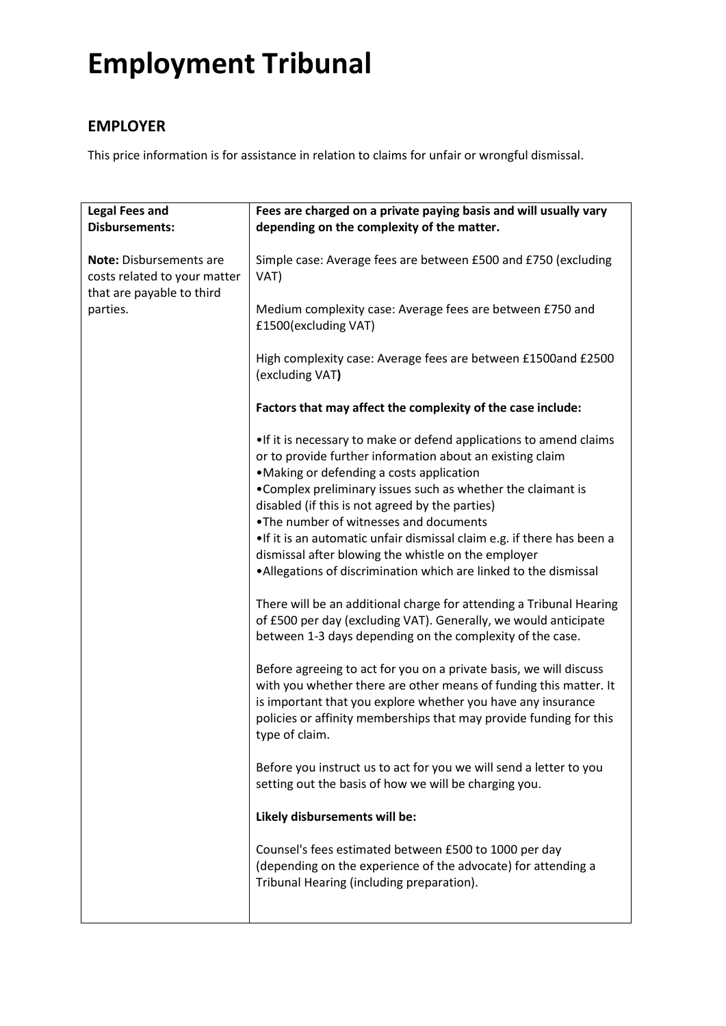### **EMPLOYER**

This price information is for assistance in relation to claims for unfair or wrongful dismissal.

| <b>Legal Fees and</b><br><b>Disbursements:</b>                                              | Fees are charged on a private paying basis and will usually vary<br>depending on the complexity of the matter.                                                                                                                                                                                                                                                                                                                                                                                                                                                                                                                                                                                                                                                                                                                                                                                                                                                                                                                                            |
|---------------------------------------------------------------------------------------------|-----------------------------------------------------------------------------------------------------------------------------------------------------------------------------------------------------------------------------------------------------------------------------------------------------------------------------------------------------------------------------------------------------------------------------------------------------------------------------------------------------------------------------------------------------------------------------------------------------------------------------------------------------------------------------------------------------------------------------------------------------------------------------------------------------------------------------------------------------------------------------------------------------------------------------------------------------------------------------------------------------------------------------------------------------------|
| <b>Note: Disbursements are</b><br>costs related to your matter<br>that are payable to third | Simple case: Average fees are between £500 and £750 (excluding<br>VAT)                                                                                                                                                                                                                                                                                                                                                                                                                                                                                                                                                                                                                                                                                                                                                                                                                                                                                                                                                                                    |
| parties.                                                                                    | Medium complexity case: Average fees are between £750 and<br>£1500(excluding VAT)                                                                                                                                                                                                                                                                                                                                                                                                                                                                                                                                                                                                                                                                                                                                                                                                                                                                                                                                                                         |
|                                                                                             | High complexity case: Average fees are between £1500and £2500<br>(excluding VAT)                                                                                                                                                                                                                                                                                                                                                                                                                                                                                                                                                                                                                                                                                                                                                                                                                                                                                                                                                                          |
|                                                                                             | Factors that may affect the complexity of the case include:                                                                                                                                                                                                                                                                                                                                                                                                                                                                                                                                                                                                                                                                                                                                                                                                                                                                                                                                                                                               |
|                                                                                             | . If it is necessary to make or defend applications to amend claims<br>or to provide further information about an existing claim<br>•Making or defending a costs application<br>•Complex preliminary issues such as whether the claimant is<br>disabled (if this is not agreed by the parties)<br>. The number of witnesses and documents<br>•If it is an automatic unfair dismissal claim e.g. if there has been a<br>dismissal after blowing the whistle on the employer<br>. Allegations of discrimination which are linked to the dismissal<br>There will be an additional charge for attending a Tribunal Hearing<br>of £500 per day (excluding VAT). Generally, we would anticipate<br>between 1-3 days depending on the complexity of the case.<br>Before agreeing to act for you on a private basis, we will discuss<br>with you whether there are other means of funding this matter. It<br>is important that you explore whether you have any insurance<br>policies or affinity memberships that may provide funding for this<br>type of claim. |
|                                                                                             | Before you instruct us to act for you we will send a letter to you<br>setting out the basis of how we will be charging you.                                                                                                                                                                                                                                                                                                                                                                                                                                                                                                                                                                                                                                                                                                                                                                                                                                                                                                                               |
|                                                                                             | Likely disbursements will be:                                                                                                                                                                                                                                                                                                                                                                                                                                                                                                                                                                                                                                                                                                                                                                                                                                                                                                                                                                                                                             |
|                                                                                             | Counsel's fees estimated between £500 to 1000 per day<br>(depending on the experience of the advocate) for attending a<br>Tribunal Hearing (including preparation).                                                                                                                                                                                                                                                                                                                                                                                                                                                                                                                                                                                                                                                                                                                                                                                                                                                                                       |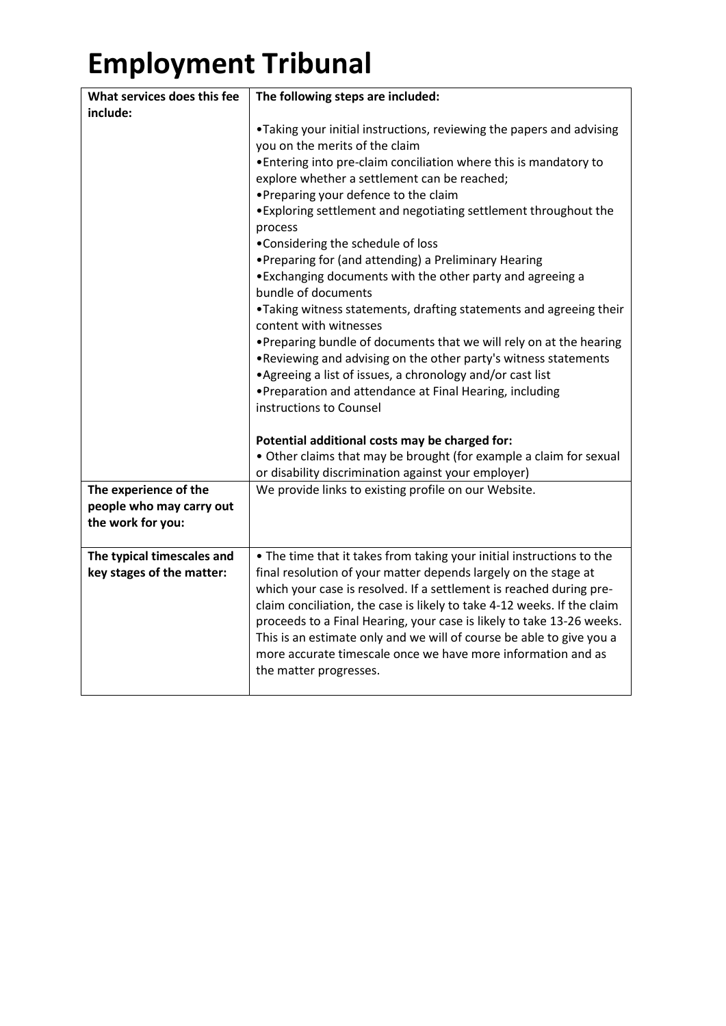| What services does this fee | The following steps are included:                                       |
|-----------------------------|-------------------------------------------------------------------------|
| include:                    |                                                                         |
|                             | . Taking your initial instructions, reviewing the papers and advising   |
|                             | you on the merits of the claim                                          |
|                             | . Entering into pre-claim conciliation where this is mandatory to       |
|                             | explore whether a settlement can be reached;                            |
|                             | •Preparing your defence to the claim                                    |
|                             | . Exploring settlement and negotiating settlement throughout the        |
|                             | process                                                                 |
|                             | •Considering the schedule of loss                                       |
|                             | • Preparing for (and attending) a Preliminary Hearing                   |
|                             | • Exchanging documents with the other party and agreeing a              |
|                             | bundle of documents                                                     |
|                             | •Taking witness statements, drafting statements and agreeing their      |
|                             | content with witnesses                                                  |
|                             | . Preparing bundle of documents that we will rely on at the hearing     |
|                             | . Reviewing and advising on the other party's witness statements        |
|                             | • Agreeing a list of issues, a chronology and/or cast list              |
|                             | • Preparation and attendance at Final Hearing, including                |
|                             | instructions to Counsel                                                 |
|                             |                                                                         |
|                             | Potential additional costs may be charged for:                          |
|                             | • Other claims that may be brought (for example a claim for sexual      |
|                             | or disability discrimination against your employer)                     |
| The experience of the       | We provide links to existing profile on our Website.                    |
| people who may carry out    |                                                                         |
| the work for you:           |                                                                         |
|                             |                                                                         |
| The typical timescales and  | • The time that it takes from taking your initial instructions to the   |
| key stages of the matter:   | final resolution of your matter depends largely on the stage at         |
|                             | which your case is resolved. If a settlement is reached during pre-     |
|                             | claim conciliation, the case is likely to take 4-12 weeks. If the claim |
|                             | proceeds to a Final Hearing, your case is likely to take 13-26 weeks.   |
|                             | This is an estimate only and we will of course be able to give you a    |
|                             | more accurate timescale once we have more information and as            |
|                             | the matter progresses.                                                  |
|                             |                                                                         |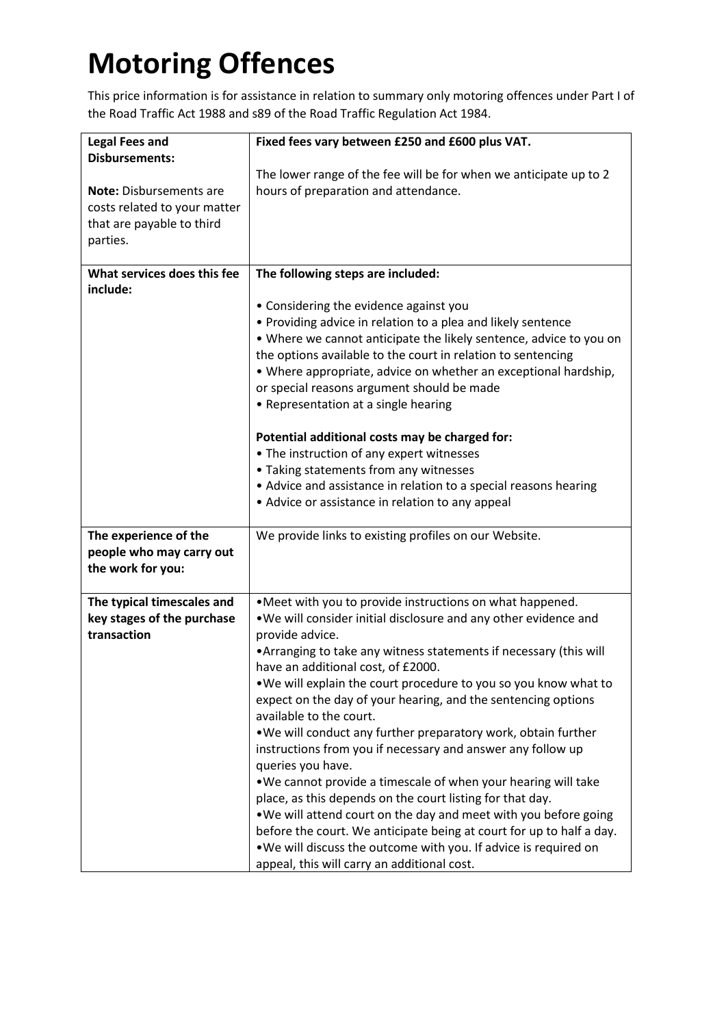# **Motoring Offences**

This price information is for assistance in relation to summary only motoring offences under Part I of the Road Traffic Act 1988 and s89 of the Road Traffic Regulation Act 1984.

| <b>Legal Fees and</b><br><b>Disbursements:</b>                                                          | Fixed fees vary between £250 and £600 plus VAT.                                                                                                                                                                                                                                                                                                                                                                                                                                                                                                                                                                                                                                                                                                                                                                                                                                                                                                                                  |
|---------------------------------------------------------------------------------------------------------|----------------------------------------------------------------------------------------------------------------------------------------------------------------------------------------------------------------------------------------------------------------------------------------------------------------------------------------------------------------------------------------------------------------------------------------------------------------------------------------------------------------------------------------------------------------------------------------------------------------------------------------------------------------------------------------------------------------------------------------------------------------------------------------------------------------------------------------------------------------------------------------------------------------------------------------------------------------------------------|
| <b>Note:</b> Disbursements are<br>costs related to your matter<br>that are payable to third<br>parties. | The lower range of the fee will be for when we anticipate up to 2<br>hours of preparation and attendance.                                                                                                                                                                                                                                                                                                                                                                                                                                                                                                                                                                                                                                                                                                                                                                                                                                                                        |
| What services does this fee                                                                             | The following steps are included:                                                                                                                                                                                                                                                                                                                                                                                                                                                                                                                                                                                                                                                                                                                                                                                                                                                                                                                                                |
| include:                                                                                                | • Considering the evidence against you<br>• Providing advice in relation to a plea and likely sentence<br>. Where we cannot anticipate the likely sentence, advice to you on<br>the options available to the court in relation to sentencing<br>• Where appropriate, advice on whether an exceptional hardship,<br>or special reasons argument should be made<br>• Representation at a single hearing<br>Potential additional costs may be charged for:<br>• The instruction of any expert witnesses<br>• Taking statements from any witnesses                                                                                                                                                                                                                                                                                                                                                                                                                                   |
|                                                                                                         | • Advice and assistance in relation to a special reasons hearing<br>• Advice or assistance in relation to any appeal                                                                                                                                                                                                                                                                                                                                                                                                                                                                                                                                                                                                                                                                                                                                                                                                                                                             |
| The experience of the<br>people who may carry out<br>the work for you:                                  | We provide links to existing profiles on our Website.                                                                                                                                                                                                                                                                                                                                                                                                                                                                                                                                                                                                                                                                                                                                                                                                                                                                                                                            |
| The typical timescales and<br>key stages of the purchase<br>transaction                                 | . Meet with you to provide instructions on what happened.<br>. We will consider initial disclosure and any other evidence and<br>provide advice.<br>• Arranging to take any witness statements if necessary (this will<br>have an additional cost, of £2000.<br>. We will explain the court procedure to you so you know what to<br>expect on the day of your hearing, and the sentencing options<br>available to the court.<br>. We will conduct any further preparatory work, obtain further<br>instructions from you if necessary and answer any follow up<br>queries you have.<br>. We cannot provide a timescale of when your hearing will take<br>place, as this depends on the court listing for that day.<br>. We will attend court on the day and meet with you before going<br>before the court. We anticipate being at court for up to half a day.<br>. We will discuss the outcome with you. If advice is required on<br>appeal, this will carry an additional cost. |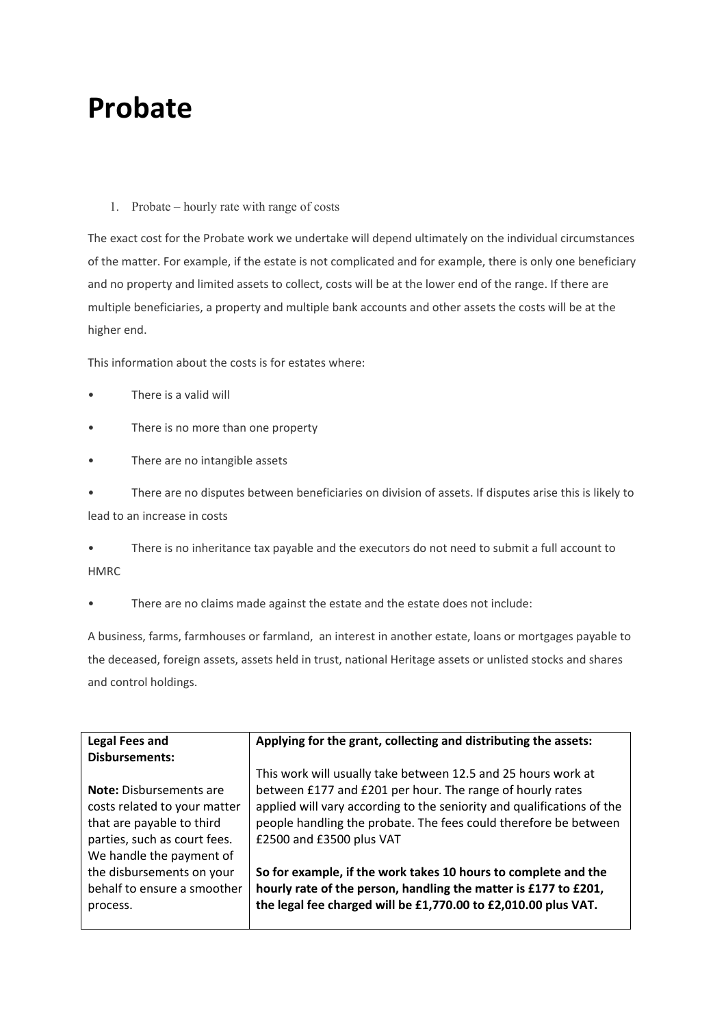### **Probate**

#### 1. Probate – hourly rate with range of costs

The exact cost for the Probate work we undertake will depend ultimately on the individual circumstances of the matter. For example, if the estate is not complicated and for example, there is only one beneficiary and no property and limited assets to collect, costs will be at the lower end of the range. If there are multiple beneficiaries, a property and multiple bank accounts and other assets the costs will be at the higher end.

This information about the costs is for estates where:

- There is a valid will
- There is no more than one property
- There are no intangible assets

• There are no disputes between beneficiaries on division of assets. If disputes arise this is likely to lead to an increase in costs

• There is no inheritance tax payable and the executors do not need to submit a full account to **HMRC** 

There are no claims made against the estate and the estate does not include:

A business, farms, farmhouses or farmland, an interest in another estate, loans or mortgages payable to the deceased, foreign assets, assets held in trust, national Heritage assets or unlisted stocks and shares and control holdings.

| <b>Legal Fees and</b>                                                                                                                                   | Applying for the grant, collecting and distributing the assets:                                                                                                                                                                                                                                      |
|---------------------------------------------------------------------------------------------------------------------------------------------------------|------------------------------------------------------------------------------------------------------------------------------------------------------------------------------------------------------------------------------------------------------------------------------------------------------|
| <b>Disbursements:</b>                                                                                                                                   |                                                                                                                                                                                                                                                                                                      |
| <b>Note:</b> Disbursements are<br>costs related to your matter<br>that are payable to third<br>parties, such as court fees.<br>We handle the payment of | This work will usually take between 12.5 and 25 hours work at<br>between £177 and £201 per hour. The range of hourly rates<br>applied will vary according to the seniority and qualifications of the<br>people handling the probate. The fees could therefore be between<br>£2500 and £3500 plus VAT |
| the disbursements on your<br>behalf to ensure a smoother<br>process.                                                                                    | So for example, if the work takes 10 hours to complete and the<br>hourly rate of the person, handling the matter is £177 to £201,<br>the legal fee charged will be £1,770.00 to £2,010.00 plus VAT.                                                                                                  |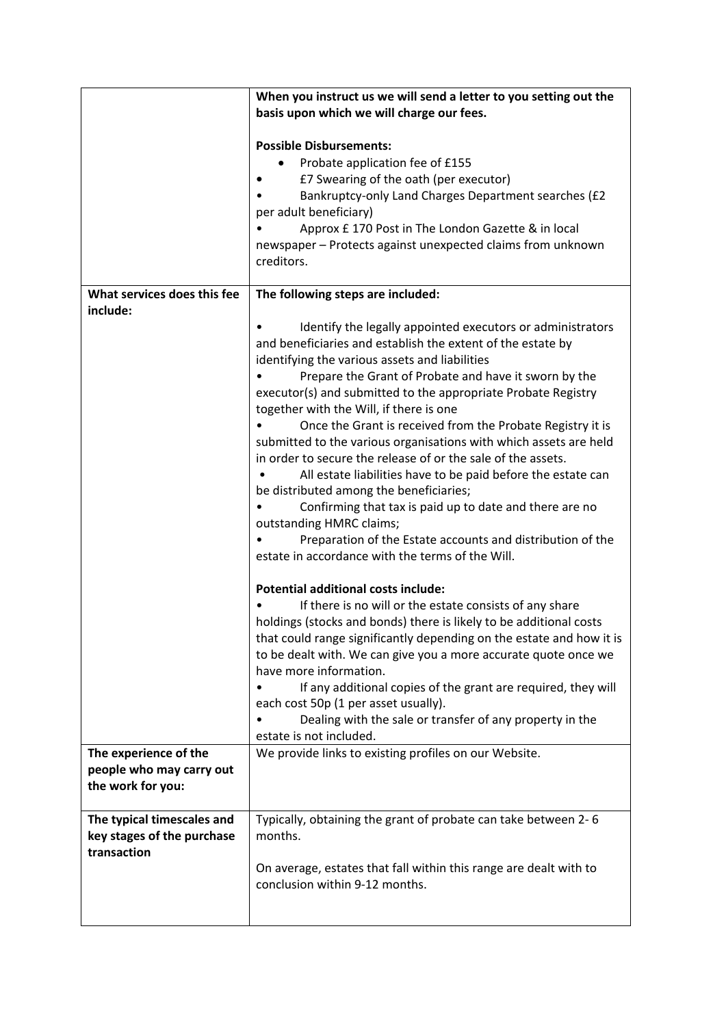|                                                                         | When you instruct us we will send a letter to you setting out the<br>basis upon which we will charge our fees.                                                                                                                                                                                                                                                                                                                                                                                                                                                                                                                                                                                                                                                                                                                                                                                                                                                                                                                                                                                                                                                                                                                                                                                                                                                                                                                                                                       |
|-------------------------------------------------------------------------|--------------------------------------------------------------------------------------------------------------------------------------------------------------------------------------------------------------------------------------------------------------------------------------------------------------------------------------------------------------------------------------------------------------------------------------------------------------------------------------------------------------------------------------------------------------------------------------------------------------------------------------------------------------------------------------------------------------------------------------------------------------------------------------------------------------------------------------------------------------------------------------------------------------------------------------------------------------------------------------------------------------------------------------------------------------------------------------------------------------------------------------------------------------------------------------------------------------------------------------------------------------------------------------------------------------------------------------------------------------------------------------------------------------------------------------------------------------------------------------|
|                                                                         | <b>Possible Disbursements:</b><br>Probate application fee of £155<br>£7 Swearing of the oath (per executor)<br>Bankruptcy-only Land Charges Department searches (£2<br>per adult beneficiary)<br>Approx £ 170 Post in The London Gazette & in local<br>newspaper - Protects against unexpected claims from unknown<br>creditors.                                                                                                                                                                                                                                                                                                                                                                                                                                                                                                                                                                                                                                                                                                                                                                                                                                                                                                                                                                                                                                                                                                                                                     |
| What services does this fee<br>include:                                 | The following steps are included:                                                                                                                                                                                                                                                                                                                                                                                                                                                                                                                                                                                                                                                                                                                                                                                                                                                                                                                                                                                                                                                                                                                                                                                                                                                                                                                                                                                                                                                    |
| The experience of the                                                   | Identify the legally appointed executors or administrators<br>and beneficiaries and establish the extent of the estate by<br>identifying the various assets and liabilities<br>Prepare the Grant of Probate and have it sworn by the<br>executor(s) and submitted to the appropriate Probate Registry<br>together with the Will, if there is one<br>Once the Grant is received from the Probate Registry it is<br>submitted to the various organisations with which assets are held<br>in order to secure the release of or the sale of the assets.<br>All estate liabilities have to be paid before the estate can<br>be distributed among the beneficiaries;<br>Confirming that tax is paid up to date and there are no<br>outstanding HMRC claims;<br>Preparation of the Estate accounts and distribution of the<br>estate in accordance with the terms of the Will.<br><b>Potential additional costs include:</b><br>If there is no will or the estate consists of any share<br>holdings (stocks and bonds) there is likely to be additional costs<br>that could range significantly depending on the estate and how it is<br>to be dealt with. We can give you a more accurate quote once we<br>have more information.<br>If any additional copies of the grant are required, they will<br>each cost 50p (1 per asset usually).<br>Dealing with the sale or transfer of any property in the<br>estate is not included.<br>We provide links to existing profiles on our Website. |
| people who may carry out                                                |                                                                                                                                                                                                                                                                                                                                                                                                                                                                                                                                                                                                                                                                                                                                                                                                                                                                                                                                                                                                                                                                                                                                                                                                                                                                                                                                                                                                                                                                                      |
| the work for you:                                                       |                                                                                                                                                                                                                                                                                                                                                                                                                                                                                                                                                                                                                                                                                                                                                                                                                                                                                                                                                                                                                                                                                                                                                                                                                                                                                                                                                                                                                                                                                      |
| The typical timescales and<br>key stages of the purchase<br>transaction | Typically, obtaining the grant of probate can take between 2-6<br>months.                                                                                                                                                                                                                                                                                                                                                                                                                                                                                                                                                                                                                                                                                                                                                                                                                                                                                                                                                                                                                                                                                                                                                                                                                                                                                                                                                                                                            |
|                                                                         | On average, estates that fall within this range are dealt with to<br>conclusion within 9-12 months.                                                                                                                                                                                                                                                                                                                                                                                                                                                                                                                                                                                                                                                                                                                                                                                                                                                                                                                                                                                                                                                                                                                                                                                                                                                                                                                                                                                  |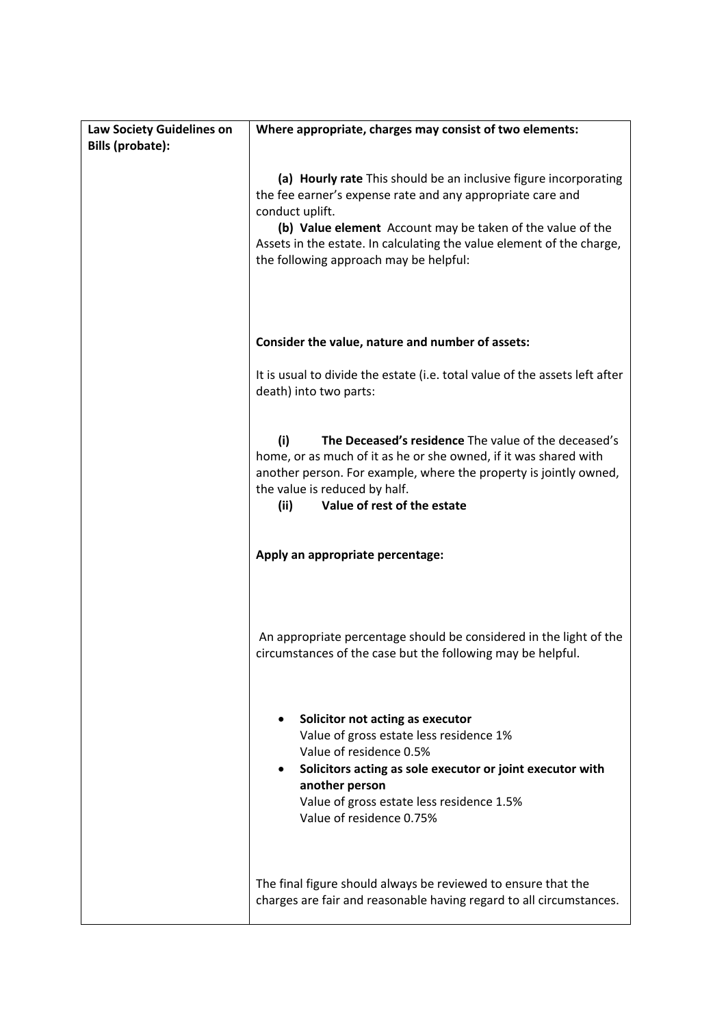| Law Society Guidelines on<br><b>Bills (probate):</b> | Where appropriate, charges may consist of two elements:                                                                                                                                                                                                                                                                            |
|------------------------------------------------------|------------------------------------------------------------------------------------------------------------------------------------------------------------------------------------------------------------------------------------------------------------------------------------------------------------------------------------|
|                                                      | (a) Hourly rate This should be an inclusive figure incorporating<br>the fee earner's expense rate and any appropriate care and<br>conduct uplift.<br>(b) Value element Account may be taken of the value of the<br>Assets in the estate. In calculating the value element of the charge,<br>the following approach may be helpful: |
|                                                      | Consider the value, nature and number of assets:                                                                                                                                                                                                                                                                                   |
|                                                      | It is usual to divide the estate (i.e. total value of the assets left after<br>death) into two parts:                                                                                                                                                                                                                              |
|                                                      | (i)<br>The Deceased's residence The value of the deceased's<br>home, or as much of it as he or she owned, if it was shared with<br>another person. For example, where the property is jointly owned,<br>the value is reduced by half.<br>(ii)<br>Value of rest of the estate                                                       |
|                                                      | Apply an appropriate percentage:                                                                                                                                                                                                                                                                                                   |
|                                                      | An appropriate percentage should be considered in the light of the<br>circumstances of the case but the following may be helpful.                                                                                                                                                                                                  |
|                                                      | Solicitor not acting as executor<br>Value of gross estate less residence 1%<br>Value of residence 0.5%<br>Solicitors acting as sole executor or joint executor with<br>another person<br>Value of gross estate less residence 1.5%<br>Value of residence 0.75%                                                                     |
|                                                      | The final figure should always be reviewed to ensure that the<br>charges are fair and reasonable having regard to all circumstances.                                                                                                                                                                                               |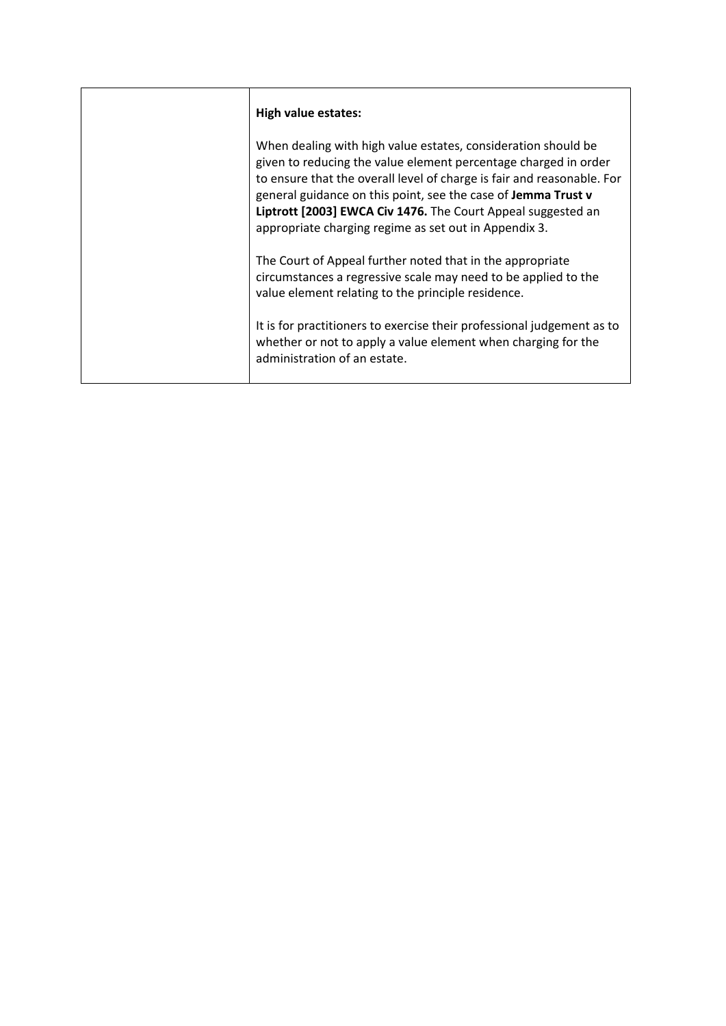| <b>High value estates:</b>                                                                                                                                                                                                                                                                                                                                                                           |
|------------------------------------------------------------------------------------------------------------------------------------------------------------------------------------------------------------------------------------------------------------------------------------------------------------------------------------------------------------------------------------------------------|
| When dealing with high value estates, consideration should be<br>given to reducing the value element percentage charged in order<br>to ensure that the overall level of charge is fair and reasonable. For<br>general guidance on this point, see the case of Jemma Trust v<br>Liptrott [2003] EWCA Civ 1476. The Court Appeal suggested an<br>appropriate charging regime as set out in Appendix 3. |
| The Court of Appeal further noted that in the appropriate<br>circumstances a regressive scale may need to be applied to the<br>value element relating to the principle residence.                                                                                                                                                                                                                    |
| It is for practitioners to exercise their professional judgement as to<br>whether or not to apply a value element when charging for the<br>administration of an estate.                                                                                                                                                                                                                              |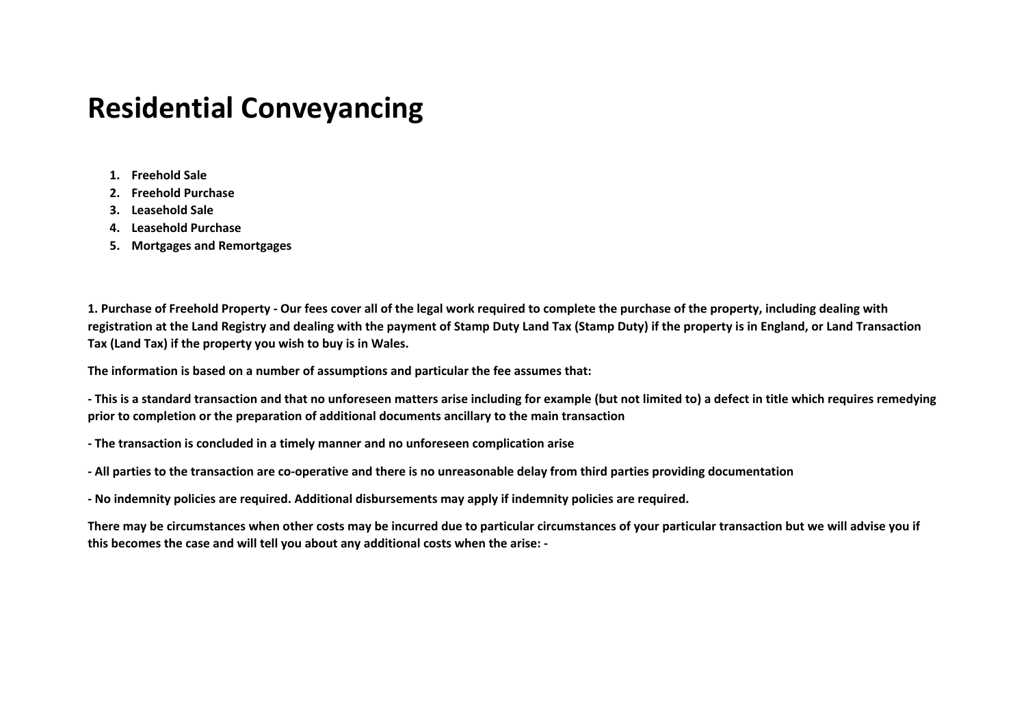### **Residential Conveyancing**

- **1. Freehold Sale**
- **2. Freehold Purchase**
- **3. Leasehold Sale**
- **4. Leasehold Purchase**
- **5. Mortgages and Remortgages**

**1. Purchase of Freehold Property - Our fees cover all of the legal work required to complete the purchase of the property, including dealing with registration at the Land Registry and dealing with the payment of Stamp Duty Land Tax (Stamp Duty) if the property is in England, or Land Transaction Tax (Land Tax) if the property you wish to buy is in Wales.** 

**The information is based on a number of assumptions and particular the fee assumes that:** 

**- This is a standard transaction and that no unforeseen matters arise including for example (but not limited to) a defect in title which requires remedying prior to completion or the preparation of additional documents ancillary to the main transaction**

- **The transaction is concluded in a timely manner and no unforeseen complication arise**
- **All parties to the transaction are co-operative and there is no unreasonable delay from third parties providing documentation**
- **No indemnity policies are required. Additional disbursements may apply if indemnity policies are required.**

**There may be circumstances when other costs may be incurred due to particular circumstances of your particular transaction but we will advise you if this becomes the case and will tell you about any additional costs when the arise: -**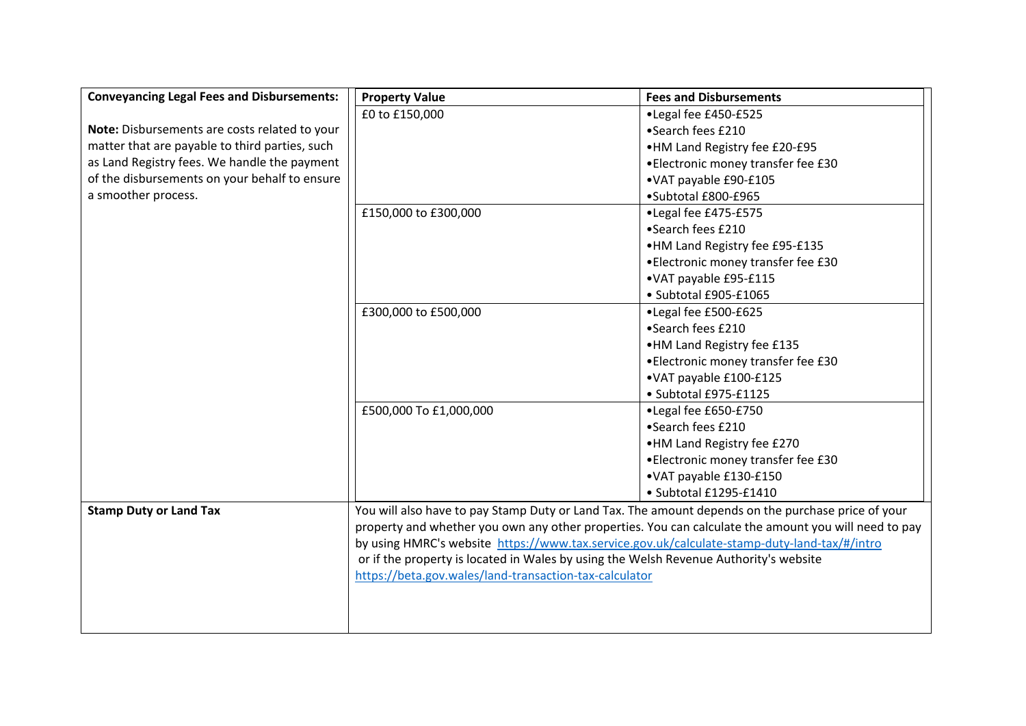| <b>Conveyancing Legal Fees and Disbursements:</b> | <b>Property Value</b><br><b>Fees and Disbursements</b>                                                                                                                                               |                                     |  |
|---------------------------------------------------|------------------------------------------------------------------------------------------------------------------------------------------------------------------------------------------------------|-------------------------------------|--|
|                                                   | £0 to £150,000                                                                                                                                                                                       | •Legal fee £450-£525                |  |
| Note: Disbursements are costs related to your     |                                                                                                                                                                                                      | •Search fees £210                   |  |
| matter that are payable to third parties, such    |                                                                                                                                                                                                      | •HM Land Registry fee £20-£95       |  |
| as Land Registry fees. We handle the payment      |                                                                                                                                                                                                      | • Electronic money transfer fee £30 |  |
| of the disbursements on your behalf to ensure     |                                                                                                                                                                                                      | •VAT payable £90-£105               |  |
| a smoother process.                               |                                                                                                                                                                                                      | •Subtotal £800-£965                 |  |
|                                                   | £150,000 to £300,000                                                                                                                                                                                 | •Legal fee £475-£575                |  |
|                                                   |                                                                                                                                                                                                      | •Search fees £210                   |  |
|                                                   |                                                                                                                                                                                                      | •HM Land Registry fee £95-£135      |  |
|                                                   |                                                                                                                                                                                                      | •Electronic money transfer fee £30  |  |
|                                                   |                                                                                                                                                                                                      | •VAT payable £95-£115               |  |
|                                                   |                                                                                                                                                                                                      | · Subtotal £905-£1065               |  |
|                                                   | £300,000 to £500,000                                                                                                                                                                                 | •Legal fee £500-£625                |  |
|                                                   |                                                                                                                                                                                                      | •Search fees £210                   |  |
|                                                   |                                                                                                                                                                                                      | •HM Land Registry fee £135          |  |
|                                                   |                                                                                                                                                                                                      | • Electronic money transfer fee £30 |  |
|                                                   |                                                                                                                                                                                                      | •VAT payable £100-£125              |  |
|                                                   |                                                                                                                                                                                                      | • Subtotal £975-£1125               |  |
|                                                   | £500,000 To £1,000,000                                                                                                                                                                               | •Legal fee £650-£750                |  |
|                                                   |                                                                                                                                                                                                      | •Search fees £210                   |  |
|                                                   |                                                                                                                                                                                                      | •HM Land Registry fee £270          |  |
|                                                   |                                                                                                                                                                                                      | • Electronic money transfer fee £30 |  |
|                                                   |                                                                                                                                                                                                      | •VAT payable £130-£150              |  |
|                                                   |                                                                                                                                                                                                      | · Subtotal £1295-£1410              |  |
| <b>Stamp Duty or Land Tax</b>                     | You will also have to pay Stamp Duty or Land Tax. The amount depends on the purchase price of your                                                                                                   |                                     |  |
|                                                   | property and whether you own any other properties. You can calculate the amount you will need to pay<br>by using HMRC's website https://www.tax.service.gov.uk/calculate-stamp-duty-land-tax/#/intro |                                     |  |
|                                                   |                                                                                                                                                                                                      |                                     |  |
|                                                   | or if the property is located in Wales by using the Welsh Revenue Authority's website                                                                                                                |                                     |  |
|                                                   | https://beta.gov.wales/land-transaction-tax-calculator                                                                                                                                               |                                     |  |
|                                                   |                                                                                                                                                                                                      |                                     |  |
|                                                   |                                                                                                                                                                                                      |                                     |  |
|                                                   |                                                                                                                                                                                                      |                                     |  |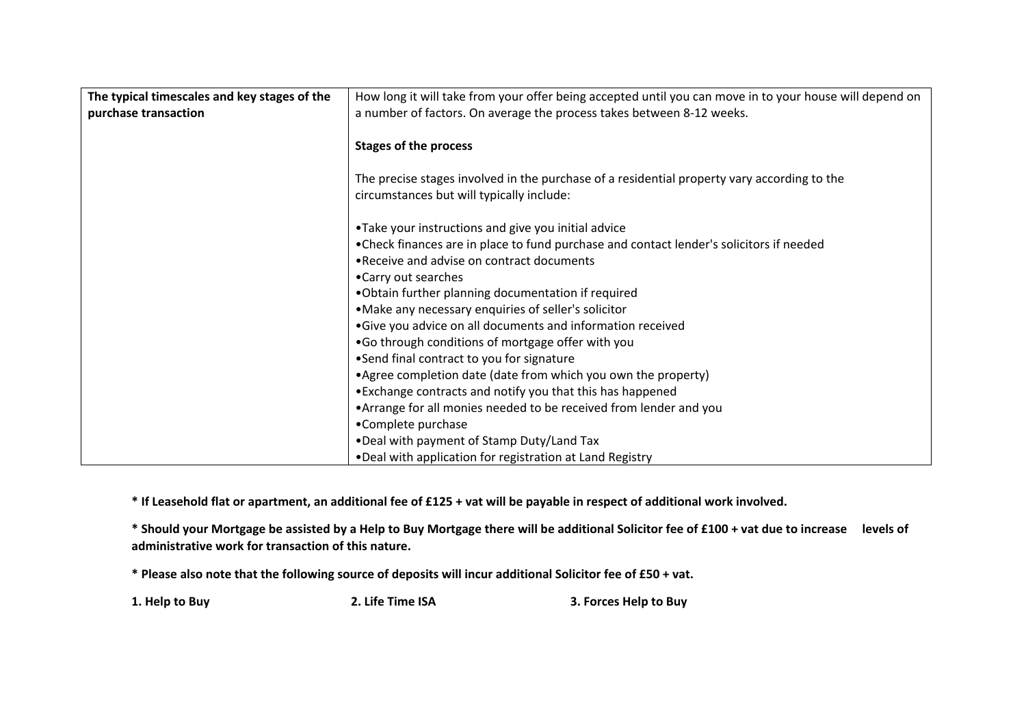| The typical timescales and key stages of the | How long it will take from your offer being accepted until you can move in to your house will depend on |
|----------------------------------------------|---------------------------------------------------------------------------------------------------------|
| purchase transaction                         | a number of factors. On average the process takes between 8-12 weeks.                                   |
|                                              |                                                                                                         |
|                                              | <b>Stages of the process</b>                                                                            |
|                                              |                                                                                                         |
|                                              | The precise stages involved in the purchase of a residential property vary according to the             |
|                                              | circumstances but will typically include:                                                               |
|                                              |                                                                                                         |
|                                              | •Take your instructions and give you initial advice                                                     |
|                                              | • Check finances are in place to fund purchase and contact lender's solicitors if needed                |
|                                              | . Receive and advise on contract documents                                                              |
|                                              | •Carry out searches                                                                                     |
|                                              | .Obtain further planning documentation if required                                                      |
|                                              | •Make any necessary enquiries of seller's solicitor                                                     |
|                                              | •Give you advice on all documents and information received                                              |
|                                              | .Go through conditions of mortgage offer with you                                                       |
|                                              | •Send final contract to you for signature                                                               |
|                                              | • Agree completion date (date from which you own the property)                                          |
|                                              | •Exchange contracts and notify you that this has happened                                               |
|                                              | • Arrange for all monies needed to be received from lender and you                                      |
|                                              | •Complete purchase                                                                                      |
|                                              | . Deal with payment of Stamp Duty/Land Tax                                                              |
|                                              | . Deal with application for registration at Land Registry                                               |

**\* If Leasehold flat or apartment, an additional fee of £125 + vat will be payable in respect of additional work involved.** 

**\* Should your Mortgage be assisted by a Help to Buy Mortgage there will be additional Solicitor fee of £100 + vat due to increase levels of administrative work for transaction of this nature.**

**\* Please also note that the following source of deposits will incur additional Solicitor fee of £50 + vat.**

**1. Help to Buy 2. Life Time ISA 3. Forces Help to Buy**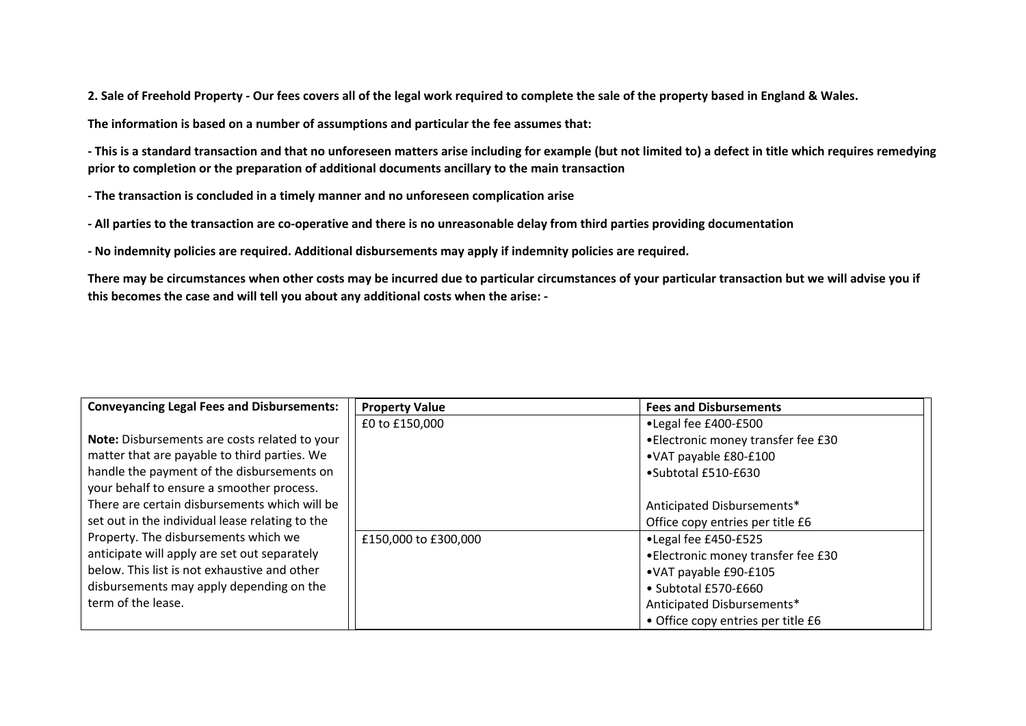**2. Sale of Freehold Property - Our fees covers all of the legal work required to complete the sale of the property based in England & Wales.** 

**The information is based on a number of assumptions and particular the fee assumes that:** 

**- This is a standard transaction and that no unforeseen matters arise including for example (but not limited to) a defect in title which requires remedying prior to completion or the preparation of additional documents ancillary to the main transaction**

**- The transaction is concluded in a timely manner and no unforeseen complication arise**

**- All parties to the transaction are co-operative and there is no unreasonable delay from third parties providing documentation**

**- No indemnity policies are required. Additional disbursements may apply if indemnity policies are required.** 

**There may be circumstances when other costs may be incurred due to particular circumstances of your particular transaction but we will advise you if this becomes the case and will tell you about any additional costs when the arise: -**

| <b>Conveyancing Legal Fees and Disbursements:</b> | <b>Property Value</b> | <b>Fees and Disbursements</b>       |
|---------------------------------------------------|-----------------------|-------------------------------------|
|                                                   | £0 to £150,000        | •Legal fee £400-£500                |
| Note: Disbursements are costs related to your     |                       | • Electronic money transfer fee £30 |
| matter that are payable to third parties. We      |                       | •VAT payable £80-£100               |
| handle the payment of the disbursements on        |                       | •Subtotal £510-£630                 |
| your behalf to ensure a smoother process.         |                       |                                     |
| There are certain disbursements which will be     |                       | Anticipated Disbursements*          |
| set out in the individual lease relating to the   |                       | Office copy entries per title £6    |
| Property. The disbursements which we              | £150,000 to £300,000  | •Legal fee £450-£525                |
| anticipate will apply are set out separately      |                       | • Electronic money transfer fee £30 |
| below. This list is not exhaustive and other      |                       | •VAT payable £90-£105               |
| disbursements may apply depending on the          |                       | • Subtotal £570-£660                |
| term of the lease.                                |                       | Anticipated Disbursements*          |
|                                                   |                       | • Office copy entries per title £6  |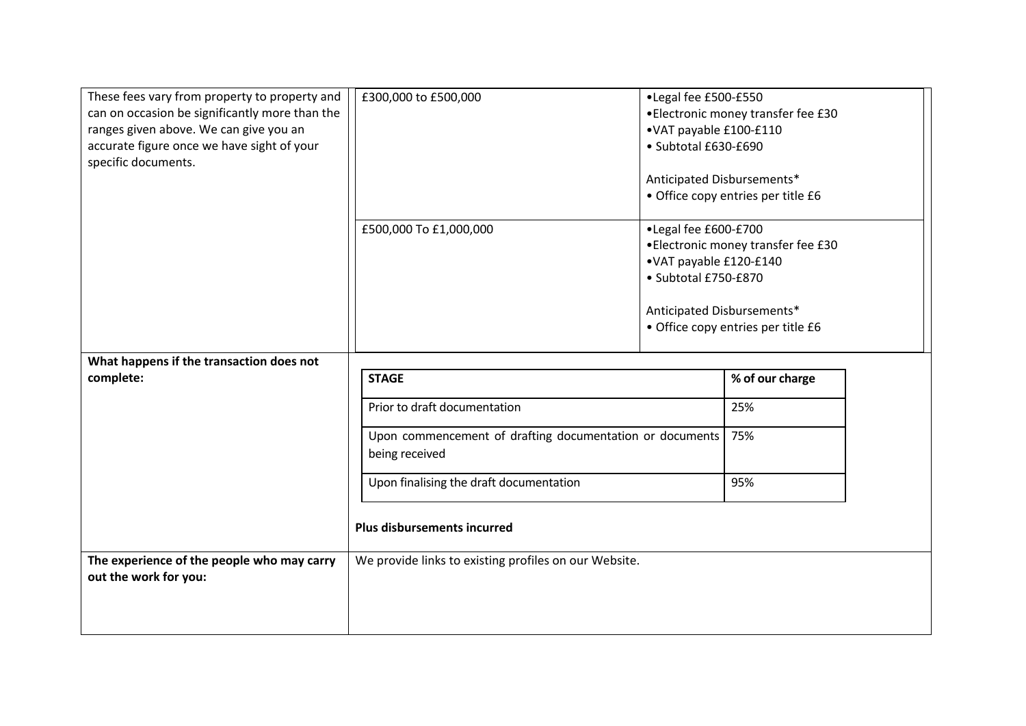| £300,000 to £500,000                           | •Legal fee £500-£550<br>•VAT payable £100-£110<br>· Subtotal £630-£690                               | •Electronic money transfer fee £30                                       |
|------------------------------------------------|------------------------------------------------------------------------------------------------------|--------------------------------------------------------------------------|
|                                                | Anticipated Disbursements*                                                                           | • Office copy entries per title £6                                       |
| £500,000 To £1,000,000                         | ·Legal fee £600-£700<br>•VAT payable £120-£140<br>· Subtotal £750-£870<br>Anticipated Disbursements* | •Electronic money transfer fee £30<br>· Office copy entries per title £6 |
|                                                |                                                                                                      |                                                                          |
| <b>STAGE</b>                                   |                                                                                                      | % of our charge                                                          |
| Prior to draft documentation                   |                                                                                                      | 25%                                                                      |
| being received                                 | Upon commencement of drafting documentation or documents                                             |                                                                          |
| Upon finalising the draft documentation<br>95% |                                                                                                      |                                                                          |
| <b>Plus disbursements incurred</b>             |                                                                                                      |                                                                          |
|                                                |                                                                                                      |                                                                          |
|                                                | These fees vary from property to property and<br>can on occasion be significantly more than the      | We provide links to existing profiles on our Website.                    |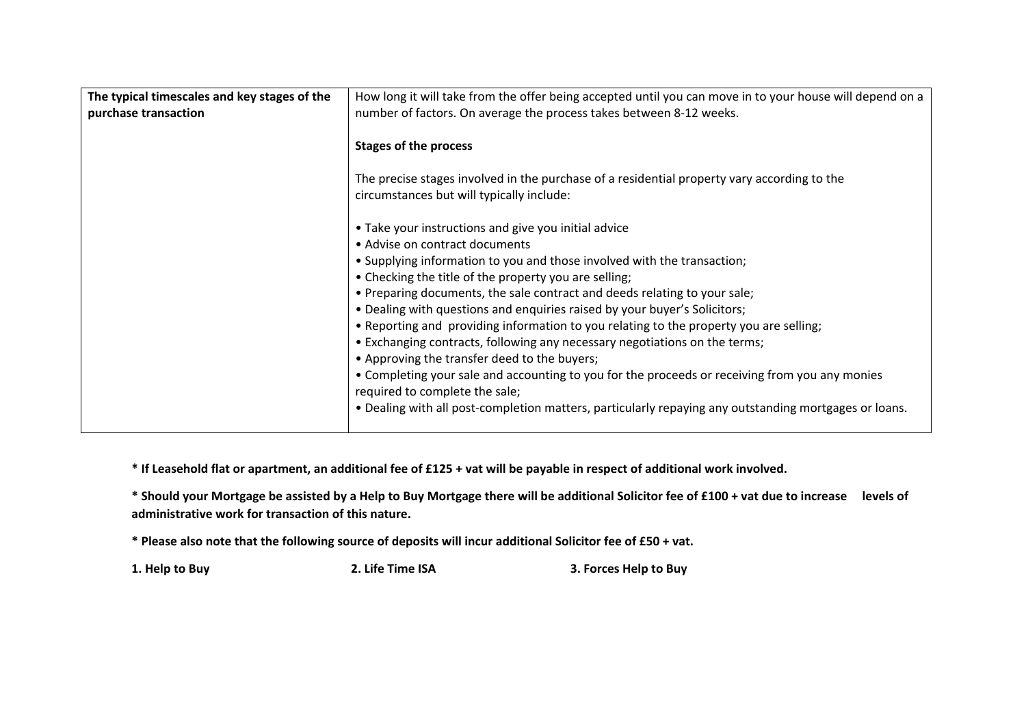| The typical timescales and key stages of the<br>purchase transaction | How long it will take from the offer being accepted until you can move in to your house will depend on a<br>number of factors. On average the process takes between 8-12 weeks. |  |
|----------------------------------------------------------------------|---------------------------------------------------------------------------------------------------------------------------------------------------------------------------------|--|
|                                                                      | <b>Stages of the process</b>                                                                                                                                                    |  |
|                                                                      | The precise stages involved in the purchase of a residential property vary according to the<br>circumstances but will typically include:                                        |  |
|                                                                      | • Take your instructions and give you initial advice                                                                                                                            |  |
|                                                                      | • Advise on contract documents                                                                                                                                                  |  |
|                                                                      | • Supplying information to you and those involved with the transaction;                                                                                                         |  |
|                                                                      | • Checking the title of the property you are selling;                                                                                                                           |  |
|                                                                      | • Preparing documents, the sale contract and deeds relating to your sale;                                                                                                       |  |
|                                                                      | . Dealing with questions and enquiries raised by your buyer's Solicitors;                                                                                                       |  |
|                                                                      | . Reporting and providing information to you relating to the property you are selling;                                                                                          |  |
|                                                                      | • Exchanging contracts, following any necessary negotiations on the terms;                                                                                                      |  |
|                                                                      | • Approving the transfer deed to the buyers;                                                                                                                                    |  |
|                                                                      | • Completing your sale and accounting to you for the proceeds or receiving from you any monies<br>required to complete the sale;                                                |  |
|                                                                      | . Dealing with all post-completion matters, particularly repaying any outstanding mortgages or loans.                                                                           |  |

**\* If Leasehold flat or apartment, an additional fee of £125 + vat will be payable in respect of additional work involved.** 

**\* Should your Mortgage be assisted by a Help to Buy Mortgage there will be additional Solicitor fee of £100 + vat due to increase levels of administrative work for transaction of this nature.**

**\* Please also note that the following source of deposits will incur additional Solicitor fee of £50 + vat.**

**1. Help to Buy 2. Life Time ISA 3. Forces Help to Buy**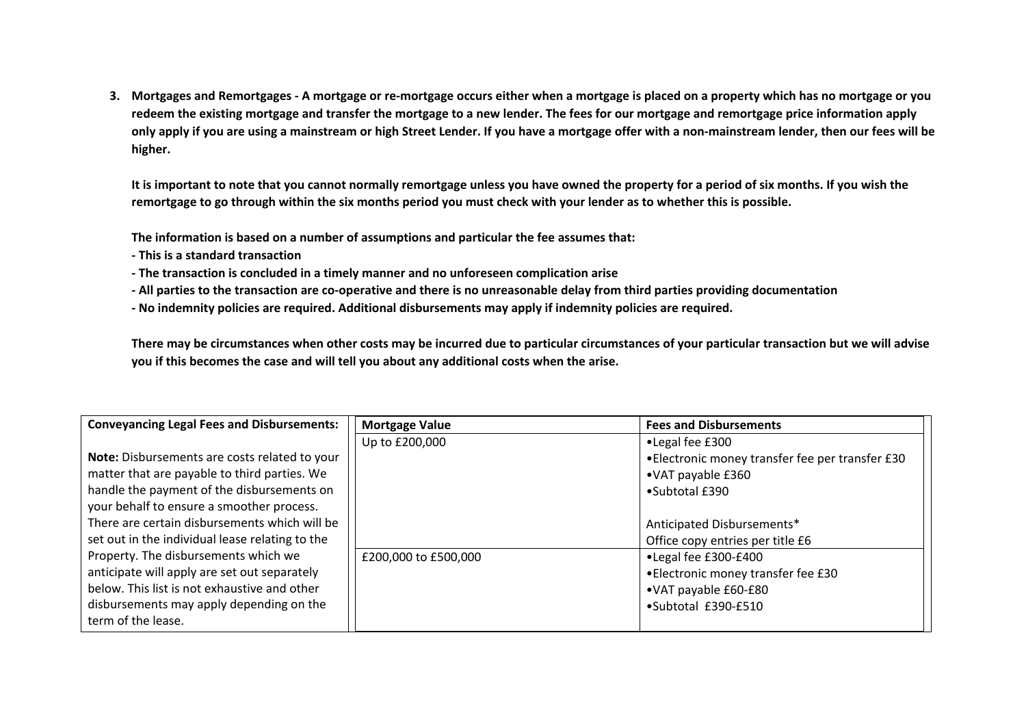**3. Mortgages and Remortgages - A mortgage or re-mortgage occurs either when a mortgage is placed on a property which has no mortgage or you redeem the existing mortgage and transfer the mortgage to a new lender. The fees for our mortgage and remortgage price information apply only apply if you are using a mainstream or high Street Lender. If you have a mortgage offer with a non-mainstream lender, then our fees will be higher.**

**It is important to note that you cannot normally remortgage unless you have owned the property for a period of six months. If you wish the remortgage to go through within the six months period you must check with your lender as to whether this is possible.**

**The information is based on a number of assumptions and particular the fee assumes that:** 

- **This is a standard transaction**
- **The transaction is concluded in a timely manner and no unforeseen complication arise**
- **All parties to the transaction are co-operative and there is no unreasonable delay from third parties providing documentation**
- **No indemnity policies are required. Additional disbursements may apply if indemnity policies are required.**

**There may be circumstances when other costs may be incurred due to particular circumstances of your particular transaction but we will advise you if this becomes the case and will tell you about any additional costs when the arise.**

| <b>Conveyancing Legal Fees and Disbursements:</b> | <b>Mortgage Value</b> | <b>Fees and Disbursements</b>                   |  |
|---------------------------------------------------|-----------------------|-------------------------------------------------|--|
|                                                   | Up to £200,000        | •Legal fee £300                                 |  |
| Note: Disbursements are costs related to your     |                       | •Electronic money transfer fee per transfer £30 |  |
| matter that are payable to third parties. We      |                       | •VAT payable £360                               |  |
| handle the payment of the disbursements on        |                       | •Subtotal £390                                  |  |
| your behalf to ensure a smoother process.         |                       |                                                 |  |
| There are certain disbursements which will be     |                       | Anticipated Disbursements*                      |  |
| set out in the individual lease relating to the   |                       | Office copy entries per title £6                |  |
| Property. The disbursements which we              | £200,000 to £500,000  | •Legal fee £300-£400                            |  |
| anticipate will apply are set out separately      |                       | • Electronic money transfer fee £30             |  |
| below. This list is not exhaustive and other      |                       | •VAT payable £60-£80                            |  |
| disbursements may apply depending on the          |                       | •Subtotal £390-£510                             |  |
| term of the lease.                                |                       |                                                 |  |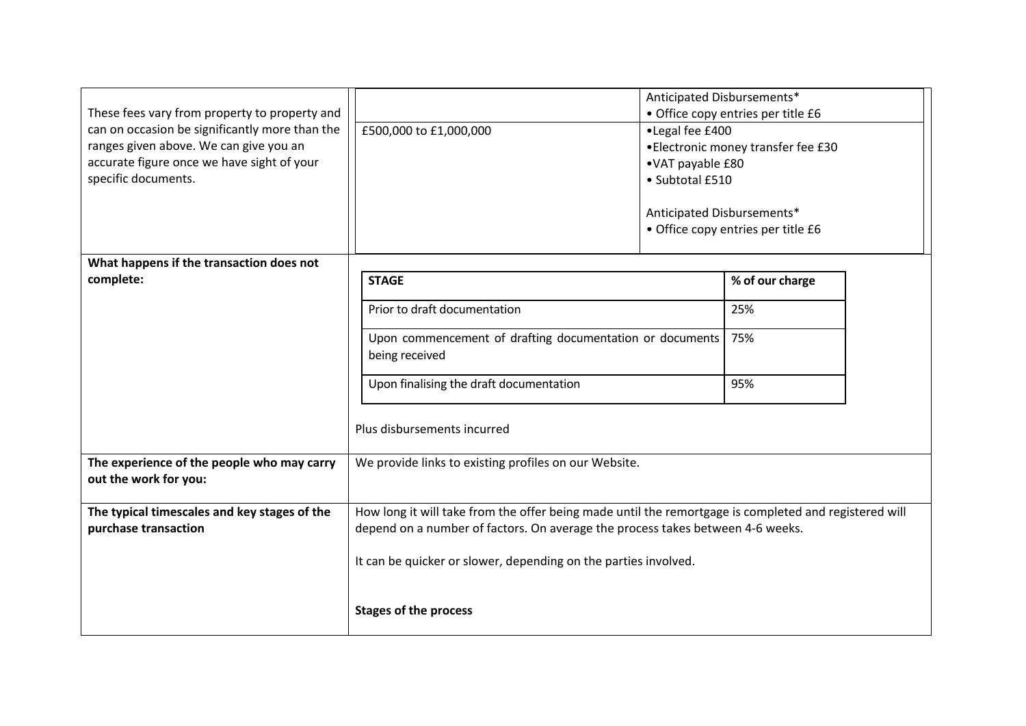| These fees vary from property to property and<br>can on occasion be significantly more than the<br>ranges given above. We can give you an<br>accurate figure once we have sight of your<br>specific documents. | £500,000 to £1,000,000                                                                                                                                                                  | Anticipated Disbursements*<br>•Legal fee £400<br>•VAT payable £80<br>• Subtotal £510<br>Anticipated Disbursements* | • Office copy entries per title £6<br>• Electronic money transfer fee £30<br>• Office copy entries per title £6 |  |
|----------------------------------------------------------------------------------------------------------------------------------------------------------------------------------------------------------------|-----------------------------------------------------------------------------------------------------------------------------------------------------------------------------------------|--------------------------------------------------------------------------------------------------------------------|-----------------------------------------------------------------------------------------------------------------|--|
| What happens if the transaction does not                                                                                                                                                                       |                                                                                                                                                                                         |                                                                                                                    |                                                                                                                 |  |
| complete:                                                                                                                                                                                                      | <b>STAGE</b>                                                                                                                                                                            |                                                                                                                    | % of our charge                                                                                                 |  |
|                                                                                                                                                                                                                | Prior to draft documentation                                                                                                                                                            |                                                                                                                    | 25%                                                                                                             |  |
|                                                                                                                                                                                                                | Upon commencement of drafting documentation or documents<br>being received                                                                                                              |                                                                                                                    | 75%                                                                                                             |  |
|                                                                                                                                                                                                                | Upon finalising the draft documentation                                                                                                                                                 |                                                                                                                    | 95%                                                                                                             |  |
|                                                                                                                                                                                                                | Plus disbursements incurred                                                                                                                                                             |                                                                                                                    |                                                                                                                 |  |
| The experience of the people who may carry<br>out the work for you:                                                                                                                                            | We provide links to existing profiles on our Website.                                                                                                                                   |                                                                                                                    |                                                                                                                 |  |
| The typical timescales and key stages of the<br>purchase transaction                                                                                                                                           | How long it will take from the offer being made until the remortgage is completed and registered will<br>depend on a number of factors. On average the process takes between 4-6 weeks. |                                                                                                                    |                                                                                                                 |  |
|                                                                                                                                                                                                                | It can be quicker or slower, depending on the parties involved.                                                                                                                         |                                                                                                                    |                                                                                                                 |  |
|                                                                                                                                                                                                                | <b>Stages of the process</b>                                                                                                                                                            |                                                                                                                    |                                                                                                                 |  |